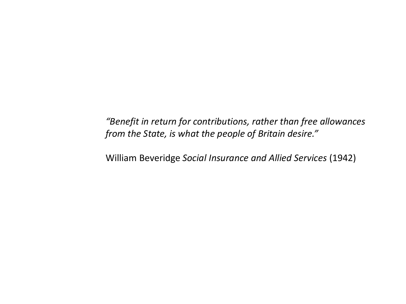*"Benefit in return for contributions, rather than free allowances from the State, is what the people of Britain desire."*

William Beveridge *Social Insurance and Allied Services* (1942)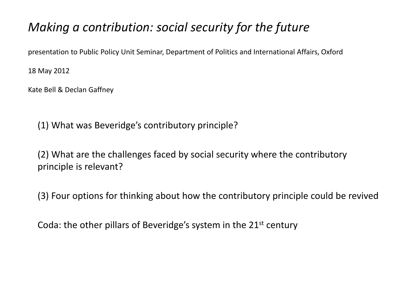#### *Making a contribution: social security for the future*

presentation to Public Policy Unit Seminar, Department of Politics and International Affairs, Oxford

18 May 2012

Kate Bell & Declan Gaffney

(1) What was Beveridge's contributory principle?

(2) What are the challenges faced by social security where the contributory principle is relevant?

(3) Four options for thinking about how the contributory principle could be revived

Coda: the other pillars of Beveridge's system in the 21<sup>st</sup> century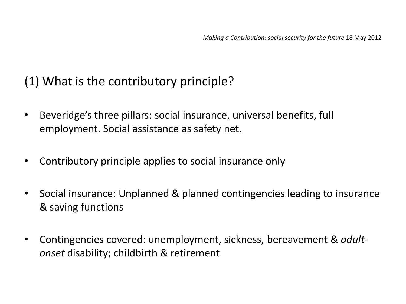## (1) What is the contributory principle?

- Beveridge's three pillars: social insurance, universal benefits, full employment. Social assistance as safety net.
- Contributory principle applies to social insurance only
- Social insurance: Unplanned & planned contingencies leading to insurance & saving functions
- Contingencies covered: unemployment, sickness, bereavement & *adultonset* disability; childbirth & retirement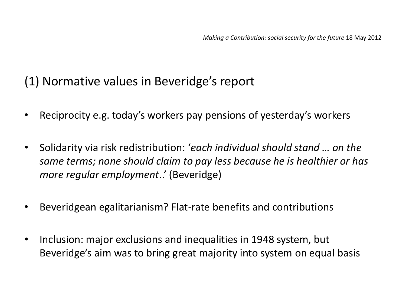#### (1) Normative values in Beveridge's report

- Reciprocity e.g. today's workers pay pensions of yesterday's workers
- Solidarity via risk redistribution: '*each individual should stand … on the same terms; none should claim to pay less because he is healthier or has more regular employment*..' (Beveridge)
- Beveridgean egalitarianism? Flat-rate benefits and contributions
- Inclusion: major exclusions and inequalities in 1948 system, but Beveridge's aim was to bring great majority into system on equal basis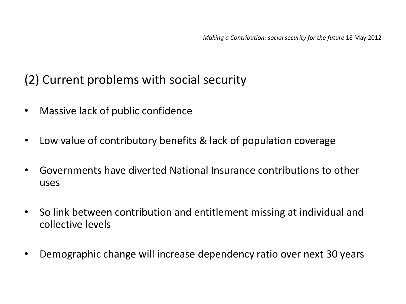## (2) Current problems with social security

- Massive lack of public confidence
- Low value of contributory benefits & lack of population coverage
- Governments have diverted National Insurance contributions to other uses
- So link between contribution and entitlement missing at individual and collective levels
- Demographic change will increase dependency ratio over next 30 years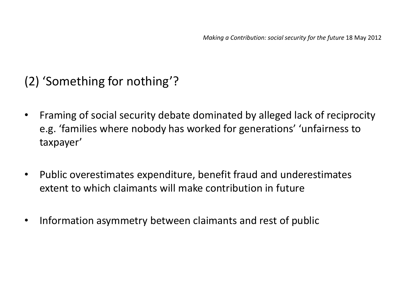# (2) 'Something for nothing'?

- Framing of social security debate dominated by alleged lack of reciprocity e.g. 'families where nobody has worked for generations' 'unfairness to taxpayer'
- Public overestimates expenditure, benefit fraud and underestimates extent to which claimants will make contribution in future
- Information asymmetry between claimants and rest of public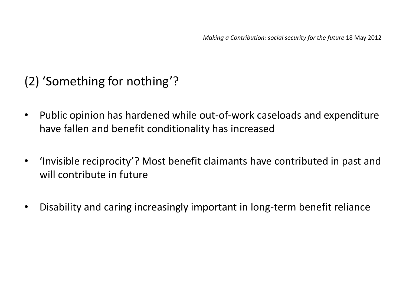# (2) 'Something for nothing'?

- Public opinion has hardened while out-of-work caseloads and expenditure have fallen and benefit conditionality has increased
- 'Invisible reciprocity'? Most benefit claimants have contributed in past and will contribute in future
- Disability and caring increasingly important in long-term benefit reliance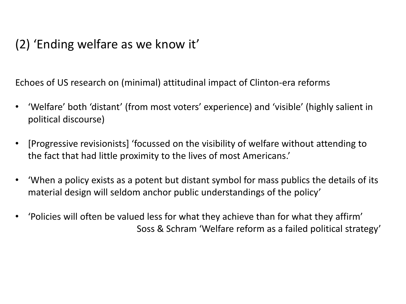# (2) 'Ending welfare as we know it'

Echoes of US research on (minimal) attitudinal impact of Clinton-era reforms

- 'Welfare' both 'distant' (from most voters' experience) and 'visible' (highly salient in political discourse)
- [Progressive revisionists] 'focussed on the visibility of welfare without attending to the fact that had little proximity to the lives of most Americans.'
- 'When a policy exists as a potent but distant symbol for mass publics the details of its material design will seldom anchor public understandings of the policy'
- 'Policies will often be valued less for what they achieve than for what they affirm' Soss & Schram 'Welfare reform as a failed political strategy'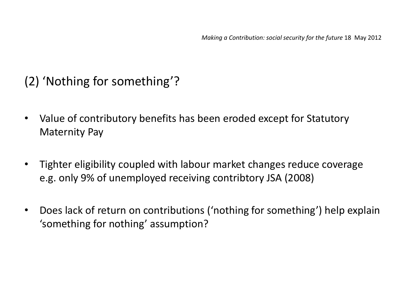# (2) 'Nothing for something'?

- Value of contributory benefits has been eroded except for Statutory Maternity Pay
- Tighter eligibility coupled with labour market changes reduce coverage e.g. only 9% of unemployed receiving contribtory JSA (2008)
- Does lack of return on contributions ('nothing for something') help explain 'something for nothing' assumption?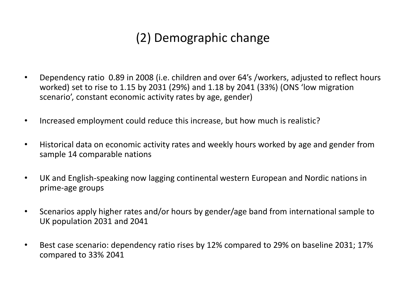# (2) Demographic change

- Dependency ratio 0.89 in 2008 (i.e. children and over 64's /workers, adjusted to reflect hours worked) set to rise to 1.15 by 2031 (29%) and 1.18 by 2041 (33%) (ONS 'low migration scenario', constant economic activity rates by age, gender)
- Increased employment could reduce this increase, but how much is realistic?
- Historical data on economic activity rates and weekly hours worked by age and gender from sample 14 comparable nations
- UK and English-speaking now lagging continental western European and Nordic nations in prime-age groups
- Scenarios apply higher rates and/or hours by gender/age band from international sample to UK population 2031 and 2041
- Best case scenario: dependency ratio rises by 12% compared to 29% on baseline 2031; 17% compared to 33% 2041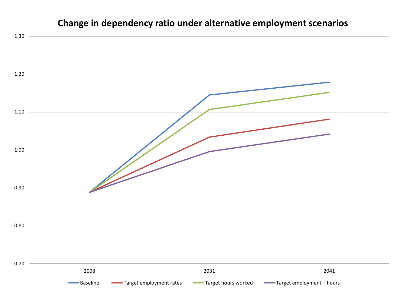#### **Change in dependency ratio under alternative employment scenarios**

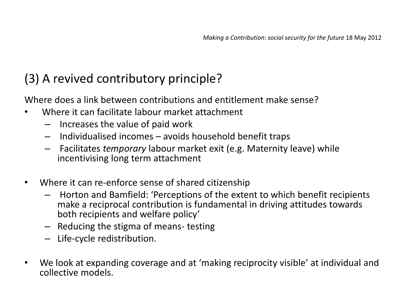Where does a link between contributions and entitlement make sense?

- Where it can facilitate labour market attachment
	- Increases the value of paid work
	- Individualised incomes avoids household benefit traps
	- Facilitates *temporary* labour market exit (e.g. Maternity leave) while incentivising long term attachment
- Where it can re-enforce sense of shared citizenship
	- Horton and Bamfield: 'Perceptions of the extent to which benefit recipients make a reciprocal contribution is fundamental in driving attitudes towards both recipients and welfare policy'
	- Reducing the stigma of means- testing
	- Life-cycle redistribution.
- We look at expanding coverage and at 'making reciprocity visible' at individual and collective models.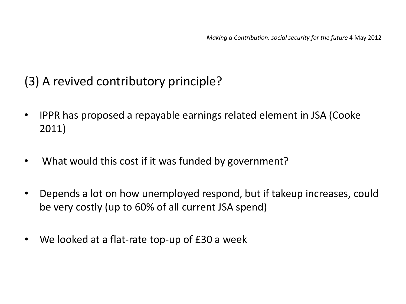- IPPR has proposed a repayable earnings related element in JSA (Cooke 2011)
- What would this cost if it was funded by government?
- Depends a lot on how unemployed respond, but if takeup increases, could be very costly (up to 60% of all current JSA spend)
- We looked at a flat-rate top-up of £30 a week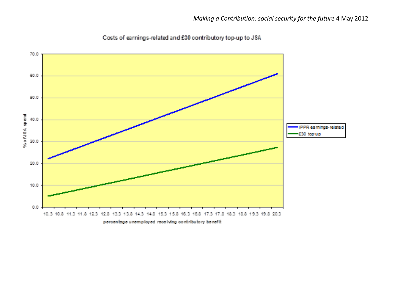

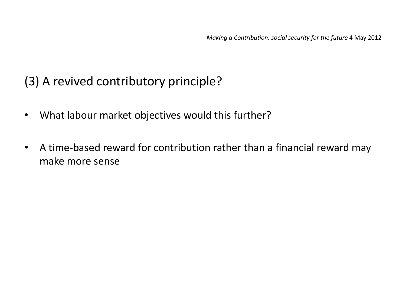- What labour market objectives would this further?
- A time-based reward for contribution rather than a financial reward may make more sense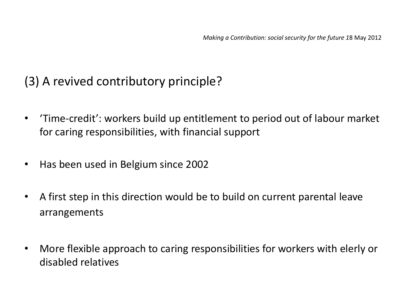- 'Time-credit': workers build up entitlement to period out of labour market for caring responsibilities, with financial support
- Has been used in Belgium since 2002
- A first step in this direction would be to build on current parental leave arrangements
- More flexible approach to caring responsibilities for workers with elerly or disabled relatives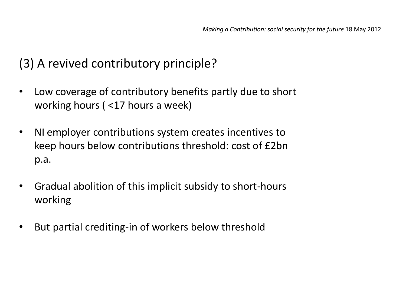- Low coverage of contributory benefits partly due to short working hours ( <17 hours a week)
- NI employer contributions system creates incentives to keep hours below contributions threshold: cost of £2bn p.a.
- Gradual abolition of this implicit subsidy to short-hours working
- But partial crediting-in of workers below threshold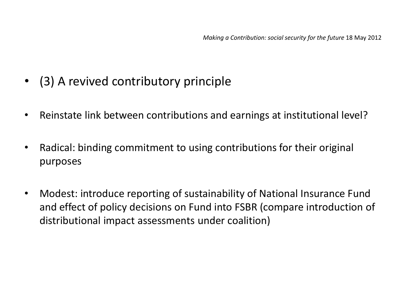- (3) A revived contributory principle
- Reinstate link between contributions and earnings at institutional level?
- Radical: binding commitment to using contributions for their original purposes
- Modest: introduce reporting of sustainability of National Insurance Fund and effect of policy decisions on Fund into FSBR (compare introduction of distributional impact assessments under coalition)